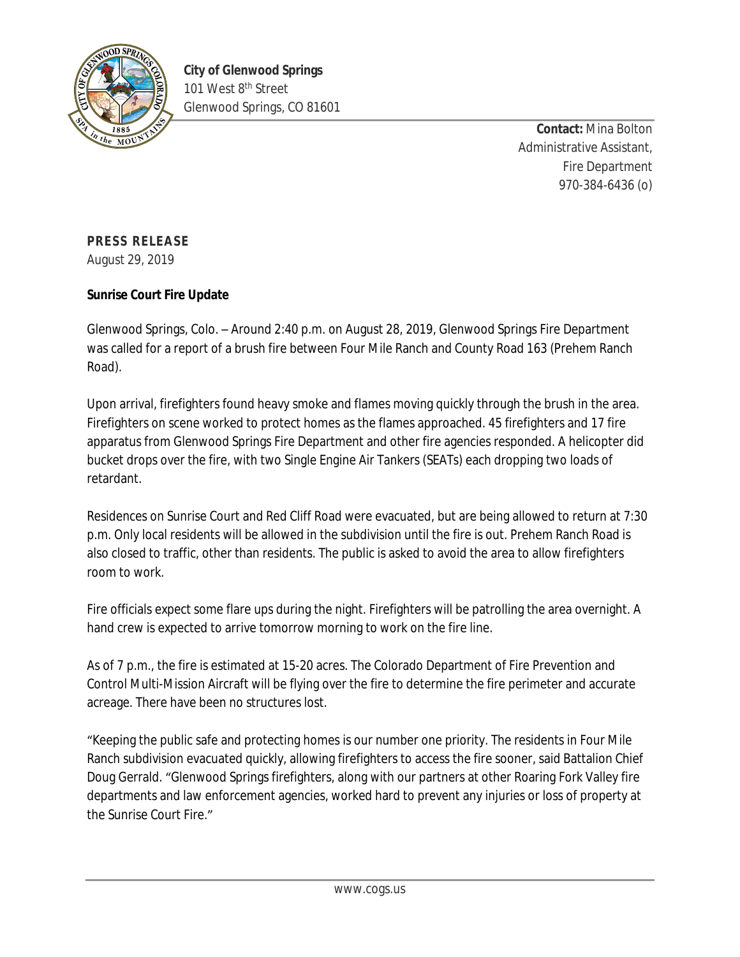

**Contact:** Mina Bolton Administrative Assistant, Fire Department 970-384-6436 (o)

## **PRESS RELEASE**

August 29, 2019

## **Sunrise Court Fire Update**

Glenwood Springs, Colo. – Around 2:40 p.m. on August 28, 2019, Glenwood Springs Fire Department was called for a report of a brush fire between Four Mile Ranch and County Road 163 (Prehem Ranch Road).

Upon arrival, firefighters found heavy smoke and flames moving quickly through the brush in the area. Firefighters on scene worked to protect homes as the flames approached. 45 firefighters and 17 fire apparatus from Glenwood Springs Fire Department and other fire agencies responded. A helicopter did bucket drops over the fire, with two Single Engine Air Tankers (SEATs) each dropping two loads of retardant.

Residences on Sunrise Court and Red Cliff Road were evacuated, but are being allowed to return at 7:30 p.m. Only local residents will be allowed in the subdivision until the fire is out. Prehem Ranch Road is also closed to traffic, other than residents. The public is asked to avoid the area to allow firefighters room to work.

Fire officials expect some flare ups during the night. Firefighters will be patrolling the area overnight. A hand crew is expected to arrive tomorrow morning to work on the fire line.

As of 7 p.m., the fire is estimated at 15-20 acres. The Colorado Department of Fire Prevention and Control Multi-Mission Aircraft will be flying over the fire to determine the fire perimeter and accurate acreage. There have been no structures lost.

"Keeping the public safe and protecting homes is our number one priority. The residents in Four Mile Ranch subdivision evacuated quickly, allowing firefighters to access the fire sooner, said Battalion Chief Doug Gerrald. "Glenwood Springs firefighters, along with our partners at other Roaring Fork Valley fire departments and law enforcement agencies, worked hard to prevent any injuries or loss of property at the Sunrise Court Fire."